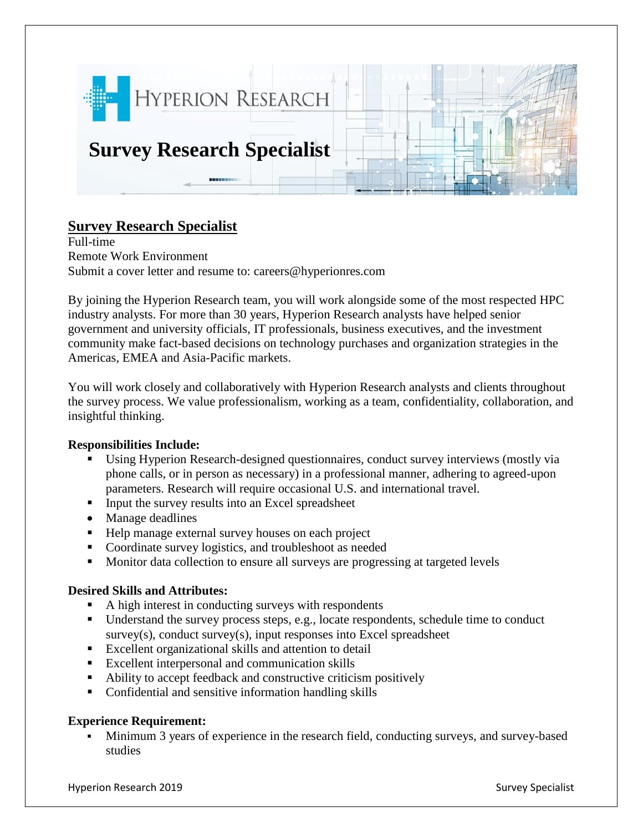

# **Survey Research Specialist**

Full-time Remote Work Environment Submit a cover letter and resume to: careers@hyperionres.com

By joining the Hyperion Research team, you will work alongside some of the most respected HPC industry analysts. For more than 30 years, Hyperion Research analysts have helped senior government and university officials, IT professionals, business executives, and the investment community make fact-based decisions on technology purchases and organization strategies in the Americas, EMEA and Asia-Pacific markets.

You will work closely and collaboratively with Hyperion Research analysts and clients throughout the survey process. We value professionalism, working as a team, confidentiality, collaboration, and insightful thinking.

### **Responsibilities Include:**

- Using Hyperion Research-designed questionnaires, conduct survey interviews (mostly via phone calls, or in person as necessary) in a professional manner, adhering to agreed-upon parameters. Research will require occasional U.S. and international travel.
- **•** Input the survey results into an Excel spreadsheet
- Manage deadlines
- Help manage external survey houses on each project
- Coordinate survey logistics, and troubleshoot as needed
- Monitor data collection to ensure all surveys are progressing at targeted levels

### **Desired Skills and Attributes:**

- A high interest in conducting surveys with respondents
- Understand the survey process steps, e.g., locate respondents, schedule time to conduct survey(s), conduct survey(s), input responses into Excel spreadsheet
- Excellent organizational skills and attention to detail
- Excellent interpersonal and communication skills
- Ability to accept feedback and constructive criticism positively
- Confidential and sensitive information handling skills

# **Experience Requirement:**

▪ Minimum 3 years of experience in the research field, conducting surveys, and survey-based studies